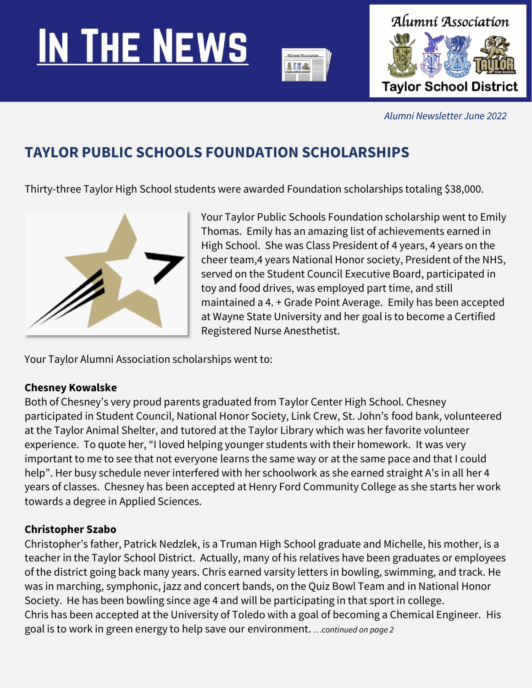# **IN THE NEWS**





*Alumni Newsletter June 2022*

# **TAYLOR PUBLIC SCHOOLS FOUNDATION SCHOLARSHIPS**

Thirty-three Taylor High School students were awarded Foundation scholarships totaling \$38,000.



Your Taylor Public Schools Foundation scholarship went to Emily Thomas. Emily has an amazing list of achievements earned in High School. She was Class President of 4 years, 4 years on the cheer team,4 years National Honor society, President of the NHS, served on the Student Council Executive Board, participated in toy and food drives, was employed part time, and still maintained a 4. + Grade Point Average. Emily has been accepted at Wayne State University and her goal is to become a Certified Registered Nurse Anesthetist.

Your Taylor Alumni Association scholarships went to:

## **Chesney Kowalske**

Both of Chesney's very proud parents graduated from Taylor Center High School. Chesney participated in Student Council, National Honor Society, Link Crew, St. John's food bank, volunteered at the Taylor Animal Shelter, and tutored at the Taylor Library which was her favorite volunteer experience. To quote her, "I loved helping younger students with their homework. It was very important to me to see that not everyone learns the same way or at the same pace and that I could help". Her busy schedule never interfered with her schoolwork as she earned straight A's in all her 4 years of classes. Chesney has been accepted at Henry Ford Community College as she starts her work towards a degree in Applied Sciences.

## **Christopher Szabo**

Christopher's father, Patrick Nedzlek, is a Truman High School graduate and Michelle, his mother, is a teacher in the Taylor School District. Actually, many of his relatives have been graduates or employees of the district going back many years. Chris earned varsity letters in bowling, swimming, and track. He was in marching, symphonic, jazz and concert bands, on the Quiz Bowl Team and in National Honor Society. He has been bowling since age 4 and will be participating in that sport in college. Chris has been accepted at the University of Toledo with a goal of becoming a Chemical Engineer. His goal is to work in green energy to help save our environment. *…continued on page 2*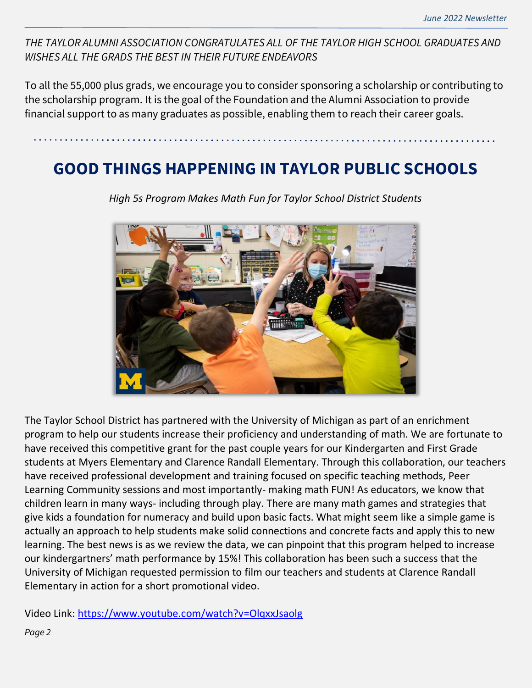*THE TAYLOR ALUMNI ASSOCIATION CONGRATULATES ALL OF THE TAYLOR HIGH SCHOOL GRADUATES AND WISHES ALL THE GRADS THE BEST IN THEIR FUTURE ENDEAVORS*

To all the 55,000 plus grads, we encourage you to consider sponsoring a scholarship or contributing to the scholarship program. It is the goal of the Foundation and the Alumni Association to provide financial support to as many graduates as possible, enabling them to reach their career goals.

## **GOOD THINGS HAPPENING IN TAYLOR PUBLIC SCHOOLS**



*High 5s Program Makes Math Fun for Taylor School District Students*

The Taylor School District has partnered with the University of Michigan as part of an enrichment program to help our students increase their proficiency and understanding of math. We are fortunate to have received this competitive grant for the past couple years for our Kindergarten and First Grade students at Myers Elementary and Clarence Randall Elementary. Through this collaboration, our teachers have received professional development and training focused on specific teaching methods, Peer Learning Community sessions and most importantly- making math FUN! As educators, we know that children learn in many ways- including through play. There are many math games and strategies that give kids a foundation for numeracy and build upon basic facts. What might seem like a simple game is actually an approach to help students make solid connections and concrete facts and apply this to new learning. The best news is as we review the data, we can pinpoint that this program helped to increase our kindergartners' math performance by 15%! This collaboration has been such a success that the University of Michigan requested permission to film our teachers and students at Clarence Randall Elementary in action for a short promotional video.

Video Link:<https://www.youtube.com/watch?v=OlqxxJsaolg>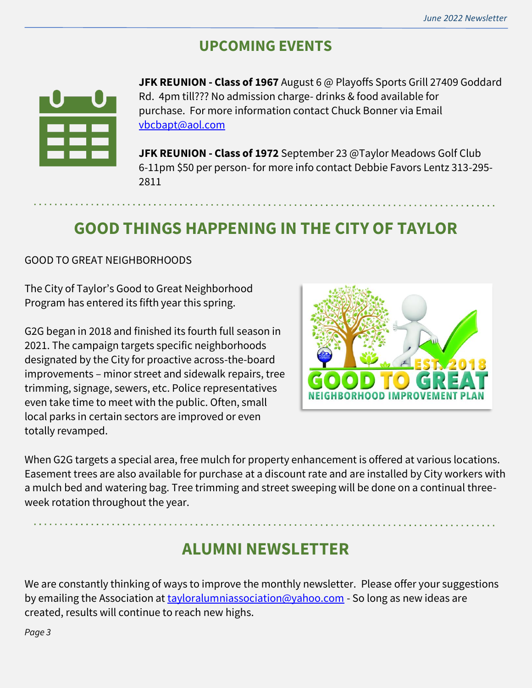## **UPCOMING EVENTS**



**JFK REUNION - Class of 1967** August 6 @ Playoffs Sports Grill 27409 Goddard Rd. 4pm till??? No admission charge- drinks & food available for purchase. For more information contact Chuck Bonner via Email [vbcbapt@aol.com](about:blank)

**JFK REUNION - Class of 1972** September 23 @Taylor Meadows Golf Club 6-11pm \$50 per person- for more info contact Debbie Favors Lentz 313-295- 2811

# **GOOD THINGS HAPPENING IN THE CITY OF TAYLOR**

GOOD TO GREAT NEIGHBORHOODS

The City of Taylor's Good to Great Neighborhood Program has entered its fifth year this spring.

G2G began in 2018 and finished its fourth full season in 2021. The campaign targets specific neighborhoods designated by the City for proactive across-the-board improvements – minor street and sidewalk repairs, tree trimming, signage, sewers, etc. Police representatives even take time to meet with the public. Often, small local parks in certain sectors are improved or even totally revamped.



When G2G targets a special area, free mulch for property enhancement is offered at various locations. Easement trees are also available for purchase at a discount rate and are installed by City workers with a mulch bed and watering bag. Tree trimming and street sweeping will be done on a continual threeweek rotation throughout the year.

# **ALUMNI NEWSLETTER**

We are constantly thinking of ways to improve the monthly newsletter. Please offer your suggestions by emailing the Association at [tayloralumniassociation@yahoo.com](mailto:tayloralumniassociation@yahoo.com) - So long as new ideas are created, results will continue to reach new highs.

*Page 3*